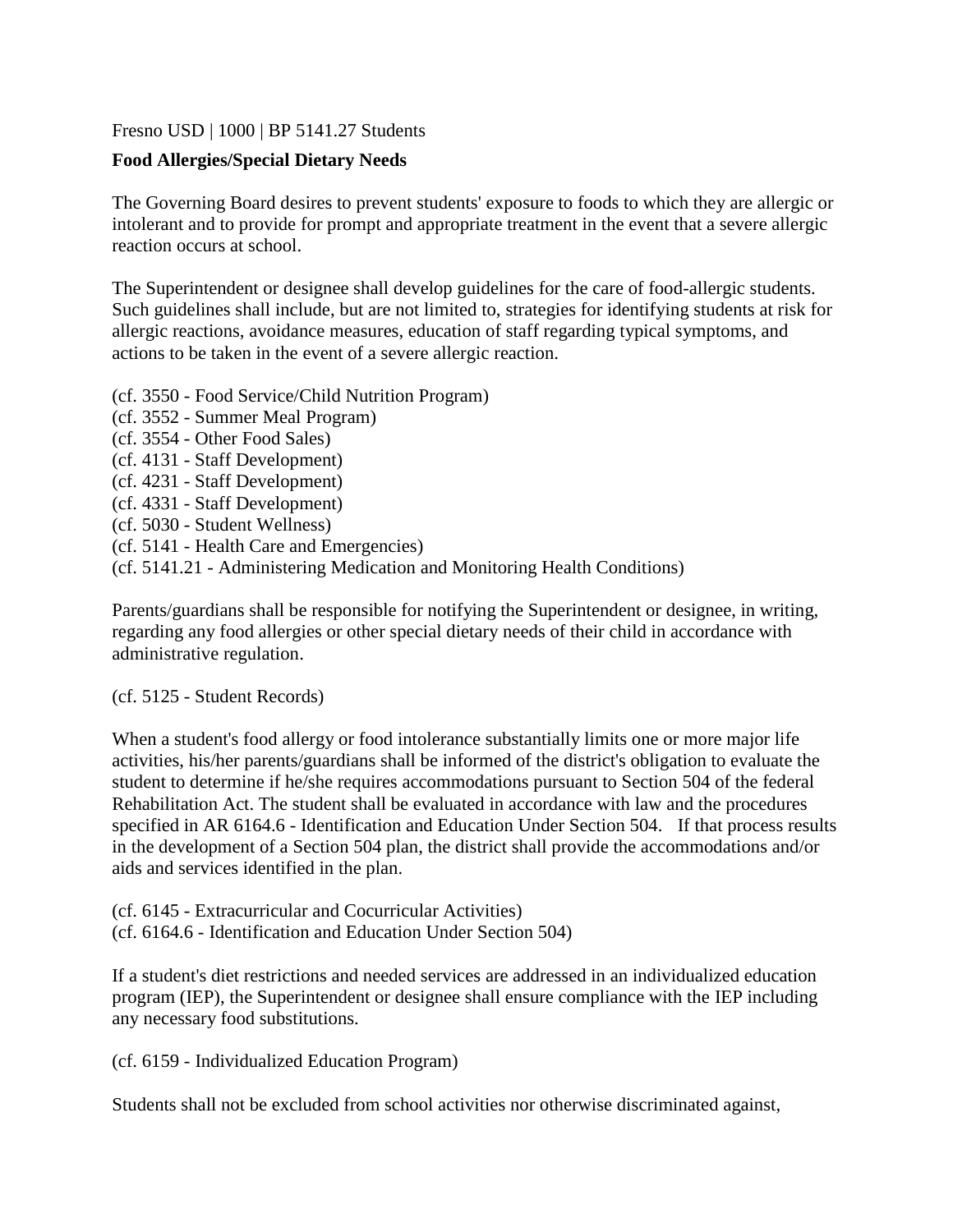#### [Fresno USD](http://www.fresnounified.org/board/policies/Policies/fusd/loaddistrictpolicy/1050.htm) | [1000](http://www.fresnounified.org/board/policies/Policies/fusd/policycategorylist/1050/1.htm) | BP 5141.27 Students

### **Food Allergies/Special Dietary Needs**

The Governing Board desires to prevent students' exposure to foods to which they are allergic or intolerant and to provide for prompt and appropriate treatment in the event that a severe allergic reaction occurs at school.

The Superintendent or designee shall develop guidelines for the care of food-allergic students. Such guidelines shall include, but are not limited to, strategies for identifying students at risk for allergic reactions, avoidance measures, education of staff regarding typical symptoms, and actions to be taken in the event of a severe allergic reaction.

- (cf. 3550 Food Service/Child Nutrition Program)
- (cf. 3552 Summer Meal Program)
- (cf. 3554 Other Food Sales)
- (cf. 4131 Staff Development)
- (cf. 4231 Staff Development)
- (cf. 4331 Staff Development)
- (cf. 5030 Student Wellness)
- (cf. 5141 Health Care and Emergencies)
- (cf. 5141.21 Administering Medication and Monitoring Health Conditions)

Parents/guardians shall be responsible for notifying the Superintendent or designee, in writing, regarding any food allergies or other special dietary needs of their child in accordance with administrative regulation.

(cf. 5125 - Student Records)

When a student's food allergy or food intolerance substantially limits one or more major life activities, his/her parents/guardians shall be informed of the district's obligation to evaluate the student to determine if he/she requires accommodations pursuant to Section 504 of the federal Rehabilitation Act. The student shall be evaluated in accordance with law and the procedures specified in AR 6164.6 - Identification and Education Under Section 504. If that process results in the development of a Section 504 plan, the district shall provide the accommodations and/or aids and services identified in the plan.

(cf. 6145 - Extracurricular and Cocurricular Activities) (cf. 6164.6 - Identification and Education Under Section 504)

If a student's diet restrictions and needed services are addressed in an individualized education program (IEP), the Superintendent or designee shall ensure compliance with the IEP including any necessary food substitutions.

(cf. 6159 - Individualized Education Program)

Students shall not be excluded from school activities nor otherwise discriminated against,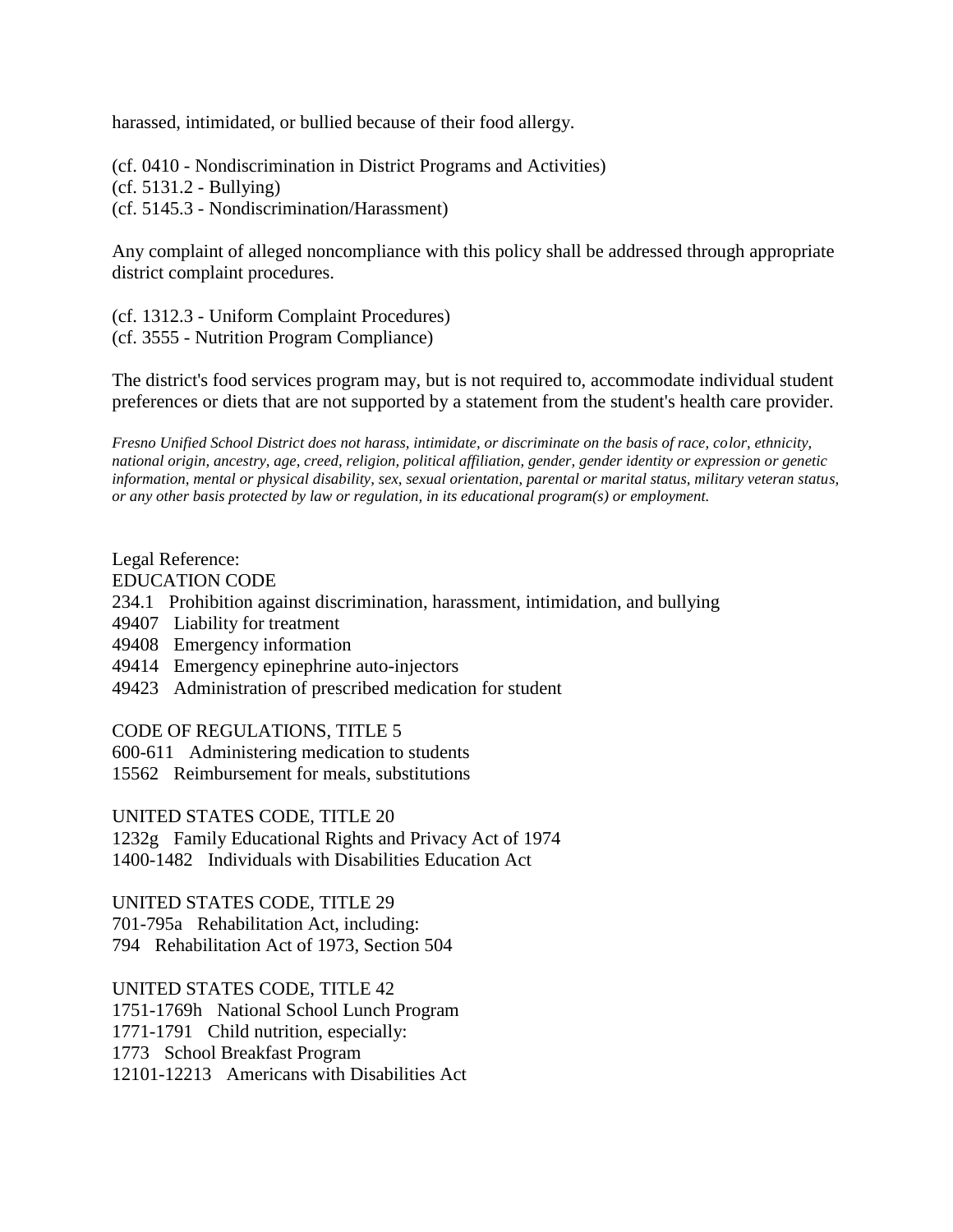harassed, intimidated, or bullied because of their food allergy.

(cf. 0410 - Nondiscrimination in District Programs and Activities) (cf. 5131.2 - Bullying) (cf. 5145.3 - Nondiscrimination/Harassment)

Any complaint of alleged noncompliance with this policy shall be addressed through appropriate district complaint procedures.

(cf. 1312.3 - Uniform Complaint Procedures) (cf. 3555 - Nutrition Program Compliance)

The district's food services program may, but is not required to, accommodate individual student preferences or diets that are not supported by a statement from the student's health care provider.

*Fresno Unified School District does not harass, intimidate, or discriminate on the basis of race, color, ethnicity, national origin, ancestry, age, creed, religion, political affiliation, gender, gender identity or expression or genetic information, mental or physical disability, sex, sexual orientation, parental or marital status, military veteran status, or any other basis protected by law or regulation, in its educational program(s) or employment.*

# Legal Reference:

EDUCATION CODE

- 234.1 Prohibition against discrimination, harassment, intimidation, and bullying
- 49407 Liability for treatment
- 49408 Emergency information
- 49414 Emergency epinephrine auto-injectors
- 49423 Administration of prescribed medication for student

CODE OF REGULATIONS, TITLE 5

- 600-611 Administering medication to students
- 15562 Reimbursement for meals, substitutions

UNITED STATES CODE, TITLE 20 1232g Family Educational Rights and Privacy Act of 1974

1400-1482 Individuals with Disabilities Education Act

UNITED STATES CODE, TITLE 29 701-795a Rehabilitation Act, including: 794 Rehabilitation Act of 1973, Section 504

UNITED STATES CODE, TITLE 42

1751-1769h National School Lunch Program

1771-1791 Child nutrition, especially:

1773 School Breakfast Program

12101-12213 Americans with Disabilities Act